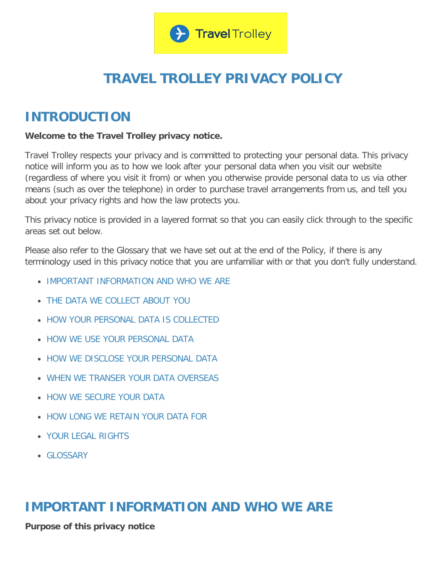

# **TRAVEL TROLLEY PRIVACY POLICY**

## **INTRODUCTION**

#### **Welcome to the Travel Trolley privacy notice.**

Travel Trolley respects your privacy and is committed to protecting your personal data. This privacy notice will inform you as to how we look after your personal data when you visit our website (regardless of where you visit it from) or when you otherwise provide personal data to us via other means (such as over the telephone) in order to purchase travel arrangements from us, and tell you about your privacy rights and how the law protects you.

This privacy notice is provided in a layered format so that you can easily click through to the specific areas set out below.

Please also refer to the Glossary that we have set out at the end of the Policy, if there is any terminology used in this privacy notice that you are unfamiliar with or that you don't fully understand.

- [IMPORTANT INFORMATION AND WHO WE ARE](#page-0-0)
- [THE DATA WE COLLECT ABOUT YOU](#page-2-0)
- **[HOW YOUR PERSONAL DATA IS COLLECTED](#page-4-0)**
- **[HOW WE USE YOUR PERSONAL DATA](#page-5-0)**
- **[HOW WE DISCLOSE YOUR PERSONAL DATA](#page-8-0)**
- [WHEN WE TRANSER YOUR DATA OVERSEAS](#page-8-1)
- [HOW WE SECURE YOUR DATA](#page-9-0)
- [HOW LONG WE RETAIN YOUR DATA FOR](#page-9-1)
- [YOUR LEGAL RIGHTS](#page-10-0)
- [GLOSSARY](#page-10-1)

## <span id="page-0-0"></span>**IMPORTANT INFORMATION AND WHO WE ARE**

**Purpose of this privacy notice**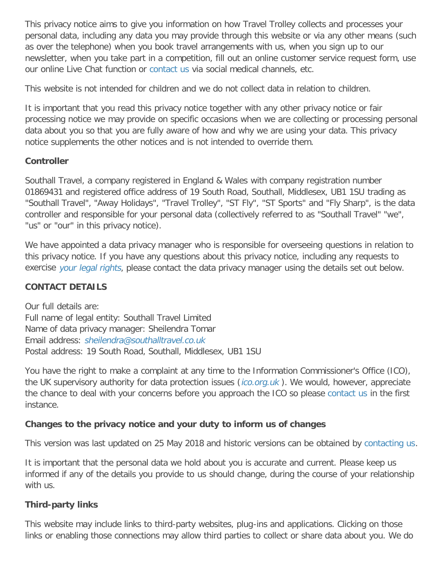This privacy notice aims to give you information on how Travel Trolley collects and processes your personal data, including any data you may provide through this website or via any other means (such as over the telephone) when you book travel arrangements with us, when you sign up to our newsletter, when you take part in a competition, fill out an online customer service request form, use our online Live Chat function or [contact us](https://www.traveltrolley.co.uk/contact-us/) via social medical channels, etc.

This website is not intended for children and we do not collect data in relation to children.

It is important that you read this privacy notice together with any other privacy notice or fair processing notice we may provide on specific occasions when we are collecting or processing personal data about you so that you are fully aware of how and why we are using your data. This privacy notice supplements the other notices and is not intended to override them.

### **Controller**

Southall Travel, a company registered in England & Wales with company registration number 01869431 and registered office address of 19 South Road, Southall, Middlesex, UB1 1SU trading as "Southall Travel", "Away Holidays", "Travel Trolley", "ST Fly", "ST Sports" and "Fly Sharp", is the data controller and responsible for your personal data (collectively referred to as "Southall Travel" "we", "us" or "our" in this privacy notice).

We have appointed a data privacy manager who is responsible for overseeing questions in relation to this privacy notice. If you have any questions about this privacy notice, including any requests to exercise your [legal rights](#page-10-0), please contact the data privacy manager using the details set out below.

### **CONTACT DETAILS**

Our full details are: Full name of legal entity: Southall Travel Limited Name of data privacy manager: Sheilendra Tomar Email address: [sheilendra@southalltravel.co.uk](mailto:sheilendra@southalltravel.co.uk) Postal address: 19 South Road, Southall, Middlesex, UB1 1SU

You have the right to make a complaint at any time to the Information Commissioner's Office (ICO), the UK supervisory authority for data protection issues *([ico.org.uk](https://ico.org.uk/))*. We would, however, appreciate the chance to deal with your concerns before you approach the ICO so please [contact us](https://www.traveltrolley.co.uk/contact-us/) in the first instance.

### **Changes to the privacy notice and your duty to inform us of changes**

This version was last updated on 25 May 2018 and historic versions can be obtained by [contacting us](https://www.traveltrolley.co.uk/contact-us/).

It is important that the personal data we hold about you is accurate and current. Please keep us informed if any of the details you provide to us should change, during the course of your relationship with us.

#### **Third-party links**

This website may include links to third-party websites, plug-ins and applications. Clicking on those links or enabling those connections may allow third parties to collect or share data about you. We do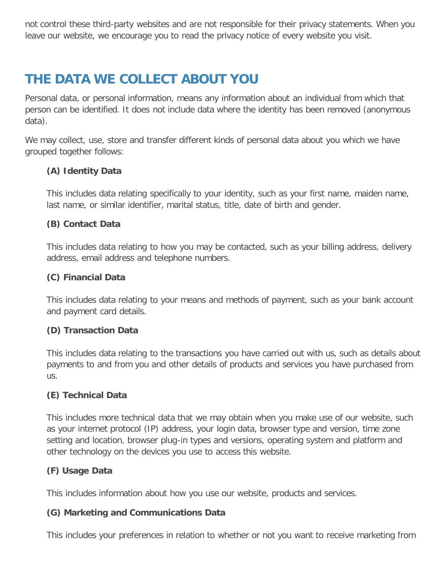not control these third-party websites and are not responsible for their privacy statements. When you leave our website, we encourage you to read the privacy notice of every website you visit.

# <span id="page-2-0"></span>**THE DATA WE COLLECT ABOUT YOU**

Personal data, or personal information, means any information about an individual from which that person can be identified. It does not include data where the identity has been removed (anonymous data).

We may collect, use, store and transfer different kinds of personal data about you which we have grouped together follows:

## **(A) Identity Data**

This includes data relating specifically to your identity, such as your first name, maiden name, last name, or similar identifier, marital status, title, date of birth and gender.

### **(B) Contact Data**

This includes data relating to how you may be contacted, such as your billing address, delivery address, email address and telephone numbers.

### **(C) Financial Data**

This includes data relating to your means and methods of payment, such as your bank account and payment card details.

#### **(D) Transaction Data**

This includes data relating to the transactions you have carried out with us, such as details about payments to and from you and other details of products and services you have purchased from us.

### **(E) Technical Data**

This includes more technical data that we may obtain when you make use of our website, such as your internet protocol (IP) address, your login data, browser type and version, time zone setting and location, browser plug-in types and versions, operating system and platform and other technology on the devices you use to access this website.

### **(F) Usage Data**

This includes information about how you use our website, products and services.

#### **(G) Marketing and Communications Data**

This includes your preferences in relation to whether or not you want to receive marketing from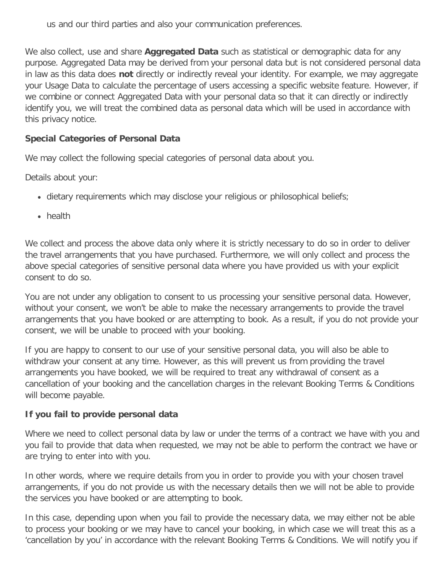us and our third parties and also your communication preferences.

We also collect, use and share **Aggregated Data** such as statistical or demographic data for any purpose. Aggregated Data may be derived from your personal data but is not considered personal data in law as this data does **not** directly or indirectly reveal your identity. For example, we may aggregate your Usage Data to calculate the percentage of users accessing a specific website feature. However, if we combine or connect Aggregated Data with your personal data so that it can directly or indirectly identify you, we will treat the combined data as personal data which will be used in accordance with this privacy notice.

## **Special Categories of Personal Data**

We may collect the following special categories of personal data about you.

Details about your:

- dietary requirements which may disclose your religious or philosophical beliefs;
- health

We collect and process the above data only where it is strictly necessary to do so in order to deliver the travel arrangements that you have purchased. Furthermore, we will only collect and process the above special categories of sensitive personal data where you have provided us with your explicit consent to do so.

You are not under any obligation to consent to us processing your sensitive personal data. However, without your consent, we won't be able to make the necessary arrangements to provide the travel arrangements that you have booked or are attempting to book. As a result, if you do not provide your consent, we will be unable to proceed with your booking.

If you are happy to consent to our use of your sensitive personal data, you will also be able to withdraw your consent at any time. However, as this will prevent us from providing the travel arrangements you have booked, we will be required to treat any withdrawal of consent as a cancellation of your booking and the cancellation charges in the relevant Booking Terms & Conditions will become payable.

### **If you fail to provide personal data**

Where we need to collect personal data by law or under the terms of a contract we have with you and you fail to provide that data when requested, we may not be able to perform the contract we have or are trying to enter into with you.

In other words, where we require details from you in order to provide you with your chosen travel arrangements, if you do not provide us with the necessary details then we will not be able to provide the services you have booked or are attempting to book.

In this case, depending upon when you fail to provide the necessary data, we may either not be able to process your booking or we may have to cancel your booking, in which case we will treat this as a 'cancellation by you' in accordance with the relevant Booking Terms & Conditions. We will notify you if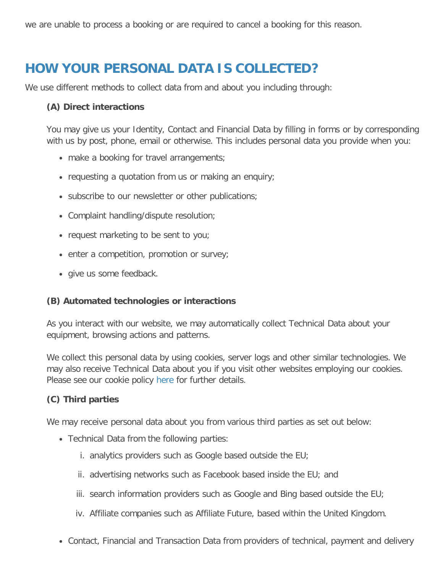we are unable to process a booking or are required to cancel a booking for this reason.

# <span id="page-4-0"></span>**HOW YOUR PERSONAL DATA IS COLLECTED?**

We use different methods to collect data from and about you including through:

#### **(A) Direct interactions**

You may give us your Identity, Contact and Financial Data by filling in forms or by corresponding with us by post, phone, email or otherwise. This includes personal data you provide when you:

- make a booking for travel arrangements;
- requesting a quotation from us or making an enquiry;
- subscribe to our newsletter or other publications;
- Complaint handling/dispute resolution;
- request marketing to be sent to you;
- enter a competition, promotion or survey;
- give us some feedback.

#### **(B) Automated technologies or interactions**

As you interact with our website, we may automatically collect Technical Data about your equipment, browsing actions and patterns.

We collect this personal data by using cookies, server logs and other similar technologies. We may also receive Technical Data about you if you visit other websites employing our cookies. Please see our cookie policy [here](https://www.traveltrolley.co.uk/cookies-policy/) for further details.

#### **(C) Third parties**

We may receive personal data about you from various third parties as set out below:

- Technical Data from the following parties:
	- i. analytics providers such as Google based outside the EU;
	- ii. advertising networks such as Facebook based inside the EU; and
	- iii. search information providers such as Google and Bing based outside the EU;
	- iv. Affiliate companies such as Affiliate Future, based within the United Kingdom.
- Contact, Financial and Transaction Data from providers of technical, payment and delivery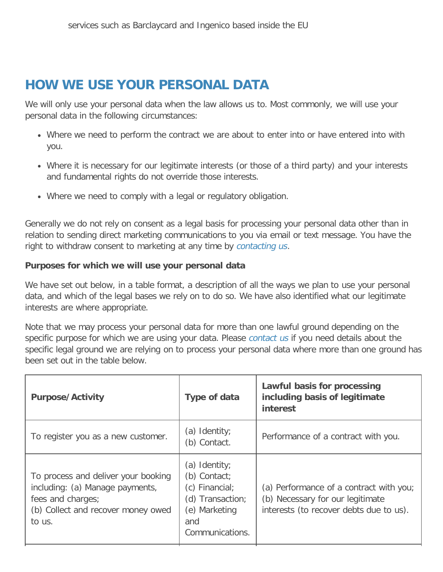## <span id="page-5-0"></span>**HOW WE USE YOUR PERSONAL DATA**

We will only use your personal data when the law allows us to. Most commonly, we will use your personal data in the following circumstances:

- Where we need to perform the contract we are about to enter into or have entered into with you.
- Where it is necessary for our legitimate interests (or those of a third party) and your interests and fundamental rights do not override those interests.
- Where we need to comply with a legal or regulatory obligation.

Generally we do not rely on consent as a legal basis for processing your personal data other than in relation to sending direct marketing communications to you via email or text message. You have the right to withdraw consent to marketing at any time by [contacting us](https://www.traveltrolley.co.uk/contact-us/).

#### **Purposes for which we will use your personal data**

We have set out below, in a table format, a description of all the ways we plan to use your personal data, and which of the legal bases we rely on to do so. We have also identified what our legitimate interests are where appropriate.

Note that we may process your personal data for more than one lawful ground depending on the specific purpose for which we are using your data. Please [contact us](https://www.traveltrolley.co.uk/contact-us/) if you need details about the specific legal ground we are relying on to process your personal data where more than one ground has been set out in the table below.

| <b>Purpose/Activity</b>                                                                                                                     | Type of data                                                                                                   | Lawful basis for processing<br>including basis of legitimate<br>interest                                               |
|---------------------------------------------------------------------------------------------------------------------------------------------|----------------------------------------------------------------------------------------------------------------|------------------------------------------------------------------------------------------------------------------------|
| To register you as a new customer.                                                                                                          | $(a)$ Identity;<br>(b) Contact.                                                                                | Performance of a contract with you.                                                                                    |
| To process and deliver your booking<br>including: (a) Manage payments,<br>fees and charges;<br>(b) Collect and recover money owed<br>to us. | (a) Identity;<br>(b) Contact;<br>(c) Financial;<br>(d) Transaction;<br>(e) Marketing<br>and<br>Communications. | (a) Performance of a contract with you;<br>(b) Necessary for our legitimate<br>interests (to recover debts due to us). |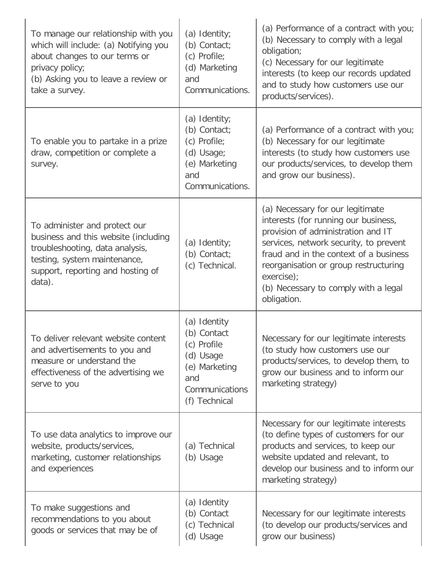| To manage our relationship with you<br>which will include: (a) Notifying you<br>about changes to our terms or<br>privacy policy;<br>(b) Asking you to leave a review or<br>take a survey. | (a) Identity;<br>(b) Contact;<br>(c) Profile;<br>(d) Marketing<br>and<br>Communications.                           | (a) Performance of a contract with you;<br>(b) Necessary to comply with a legal<br>obligation;<br>(c) Necessary for our legitimate<br>interests (to keep our records updated<br>and to study how customers use our<br>products/services).                                                                        |
|-------------------------------------------------------------------------------------------------------------------------------------------------------------------------------------------|--------------------------------------------------------------------------------------------------------------------|------------------------------------------------------------------------------------------------------------------------------------------------------------------------------------------------------------------------------------------------------------------------------------------------------------------|
| To enable you to partake in a prize<br>draw, competition or complete a<br>survey.                                                                                                         | (a) Identity;<br>(b) Contact;<br>(c) Profile;<br>(d) Usage;<br>(e) Marketing<br>and<br>Communications.             | (a) Performance of a contract with you;<br>(b) Necessary for our legitimate<br>interests (to study how customers use<br>our products/services, to develop them<br>and grow our business).                                                                                                                        |
| To administer and protect our<br>business and this website (including<br>troubleshooting, data analysis,<br>testing, system maintenance,<br>support, reporting and hosting of<br>data).   | (a) Identity;<br>(b) Contact;<br>(c) Technical.                                                                    | (a) Necessary for our legitimate<br>interests (for running our business,<br>provision of administration and IT<br>services, network security, to prevent<br>fraud and in the context of a business<br>reorganisation or group restructuring<br>exercise);<br>(b) Necessary to comply with a legal<br>obligation. |
| To deliver relevant website content<br>and advertisements to you and<br>measure or understand the<br>effectiveness of the advertising we<br>serve to you                                  | (a) Identity<br>(b) Contact<br>(c) Profile<br>(d) Usage<br>(e) Marketing<br>and<br>Communications<br>(f) Technical | Necessary for our legitimate interests<br>(to study how customers use our<br>products/services, to develop them, to<br>grow our business and to inform our<br>marketing strategy)                                                                                                                                |
| To use data analytics to improve our<br>website, products/services,<br>marketing, customer relationships<br>and experiences                                                               | (a) Technical<br>(b) Usage                                                                                         | Necessary for our legitimate interests<br>(to define types of customers for our<br>products and services, to keep our<br>website updated and relevant, to<br>develop our business and to inform our<br>marketing strategy)                                                                                       |
| To make suggestions and<br>recommendations to you about<br>goods or services that may be of                                                                                               | (a) Identity<br>(b) Contact<br>(c) Technical<br>(d) Usage                                                          | Necessary for our legitimate interests<br>(to develop our products/services and<br>grow our business)                                                                                                                                                                                                            |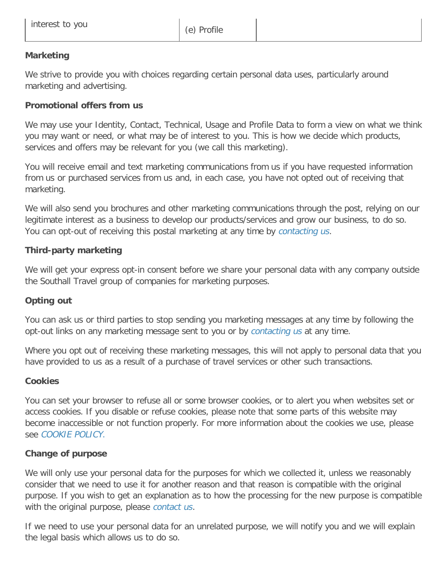#### **Marketing**

We strive to provide you with choices regarding certain personal data uses, particularly around marketing and advertising.

#### **Promotional offers from us**

We may use your Identity, Contact, Technical, Usage and Profile Data to form a view on what we think you may want or need, or what may be of interest to you. This is how we decide which products, services and offers may be relevant for you (we call this marketing).

You will receive email and text marketing communications from us if you have requested information from us or purchased services from us and, in each case, you have not opted out of receiving that marketing.

We will also send you brochures and other marketing communications through the post, relying on our legitimate interest as a business to develop our products/services and grow our business, to do so. You can opt-out of receiving this postal marketing at any time by [contacting us](https://www.traveltrolley.co.uk/contact-us/).

#### **Third-party marketing**

We will get your express opt-in consent before we share your personal data with any company outside the Southall Travel group of companies for marketing purposes.

#### **Opting out**

You can ask us or third parties to stop sending you marketing messages at any time by following the opt-out links on any marketing message sent to you or by *[contacting us](https://www.traveltrolley.co.uk/contact-us/)* at any time.

Where you opt out of receiving these marketing messages, this will not apply to personal data that you have provided to us as a result of a purchase of travel services or other such transactions.

#### **Cookies**

You can set your browser to refuse all or some browser cookies, or to alert you when websites set or access cookies. If you disable or refuse cookies, please note that some parts of this website may become inaccessible or not function properly. For more information about the cookies we use, please see [COOKIE POLICY](https://www.traveltrolley.co.uk/cookies-policy/)[.](https://www.traveltrolley.co.uk/cookies-policy/)

#### **Change of purpose**

We will only use your personal data for the purposes for which we collected it, unless we reasonably consider that we need to use it for another reason and that reason is compatible with the original purpose. If you wish to get an explanation as to how the processing for the new purpose is compatible with the original purpose, please [contact us](https://www.traveltrolley.co.uk/contact-us/).

If we need to use your personal data for an unrelated purpose, we will notify you and we will explain the legal basis which allows us to do so.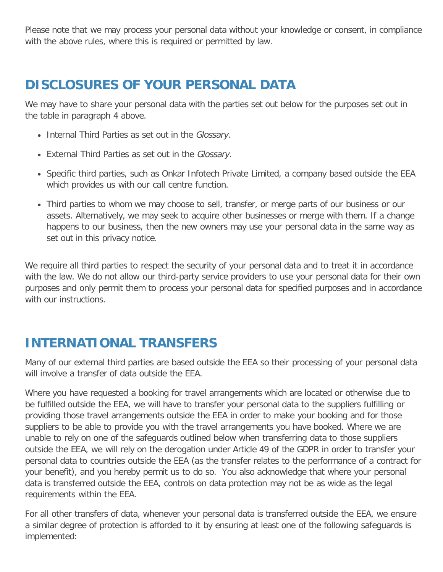Please note that we may process your personal data without your knowledge or consent, in compliance with the above rules, where this is required or permitted by law.

# <span id="page-8-0"></span>**DISCLOSURES OF YOUR PERSONAL DATA**

We may have to share your personal data with the parties set out below for the purposes set out in the table in paragraph 4 above.

- Internal Third Parties as set out in the Glossary.
- External Third Parties as set out in the Glossary.
- Specific third parties, such as Onkar Infotech Private Limited, a company based outside the EEA which provides us with our call centre function.
- Third parties to whom we may choose to sell, transfer, or merge parts of our business or our assets. Alternatively, we may seek to acquire other businesses or merge with them. If a change happens to our business, then the new owners may use your personal data in the same way as set out in this privacy notice.

We require all third parties to respect the security of your personal data and to treat it in accordance with the law. We do not allow our third-party service providers to use your personal data for their own purposes and only permit them to process your personal data for specified purposes and in accordance with our instructions.

# <span id="page-8-1"></span>**INTERNATIONAL TRANSFERS**

Many of our external third parties are based outside the EEA so their processing of your personal data will involve a transfer of data outside the EEA.

Where you have requested a booking for travel arrangements which are located or otherwise due to be fulfilled outside the EEA, we will have to transfer your personal data to the suppliers fulfilling or providing those travel arrangements outside the EEA in order to make your booking and for those suppliers to be able to provide you with the travel arrangements you have booked. Where we are unable to rely on one of the safeguards outlined below when transferring data to those suppliers outside the EEA, we will rely on the derogation under Article 49 of the GDPR in order to transfer your personal data to countries outside the EEA (as the transfer relates to the performance of a contract for your benefit), and you hereby permit us to do so. You also acknowledge that where your personal data is transferred outside the EEA, controls on data protection may not be as wide as the legal requirements within the EEA.

For all other transfers of data, whenever your personal data is transferred outside the EEA, we ensure a similar degree of protection is afforded to it by ensuring at least one of the following safeguards is implemented: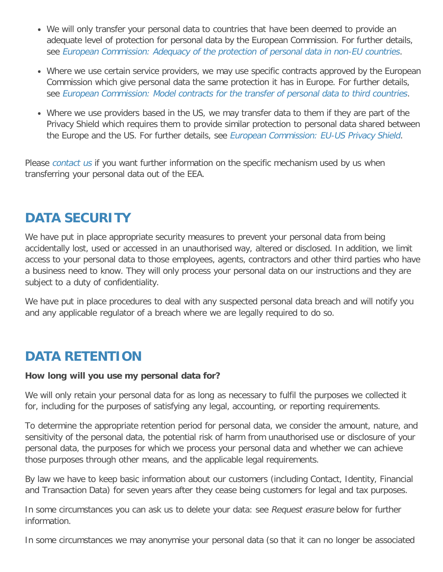- We will only transfer your personal data to countries that have been deemed to provide an adequate level of protection for personal data by the European Commission. For further details, see [European Commission: Adequacy of the protection of personal data in non-EU countries](https://ec.europa.eu/info/law/law-topic/data-protection/data-transfers-outside-eu/adequacy-protection-personal-data-non-eu-countries_en).
- Where we use certain service providers, we may use specific contracts approved by the European Commission which give personal data the same protection it has in Europe. For further details, see [European Commission: Model contracts for the transfer of personal data to third countries](https://ec.europa.eu/info/law/law-topic/data-protection/data-transfers-outside-eu/model-contracts-transfer-personal-data-third-countries_en).
- Where we use providers based in the US, we may transfer data to them if they are part of the Privacy Shield which requires them to provide similar protection to personal data shared between the Europe and the US. For further details, see [European Commission: EU-US Privacy Shield](https://ec.europa.eu/info/law/law-topic/data-protection/data-transfers-outside-eu/eu-us-privacy-shield_en).

Please [contact us](https://www.traveltrolley.co.uk/contact-us/) if you want further information on the specific mechanism used by us when transferring your personal data out of the EEA.

# <span id="page-9-0"></span>**DATA SECURITY**

We have put in place appropriate security measures to prevent your personal data from being accidentally lost, used or accessed in an unauthorised way, altered or disclosed. In addition, we limit access to your personal data to those employees, agents, contractors and other third parties who have a business need to know. They will only process your personal data on our instructions and they are subject to a duty of confidentiality.

We have put in place procedures to deal with any suspected personal data breach and will notify you and any applicable regulator of a breach where we are legally required to do so.

## <span id="page-9-1"></span>**DATA RETENTION**

#### **How long will you use my personal data for?**

We will only retain your personal data for as long as necessary to fulfil the purposes we collected it for, including for the purposes of satisfying any legal, accounting, or reporting requirements.

To determine the appropriate retention period for personal data, we consider the amount, nature, and sensitivity of the personal data, the potential risk of harm from unauthorised use or disclosure of your personal data, the purposes for which we process your personal data and whether we can achieve those purposes through other means, and the applicable legal requirements.

By law we have to keep basic information about our customers (including Contact, Identity, Financial and Transaction Data) for seven years after they cease being customers for legal and tax purposes.

In some circumstances you can ask us to delete your data: see Request erasure below for further information.

In some circumstances we may anonymise your personal data (so that it can no longer be associated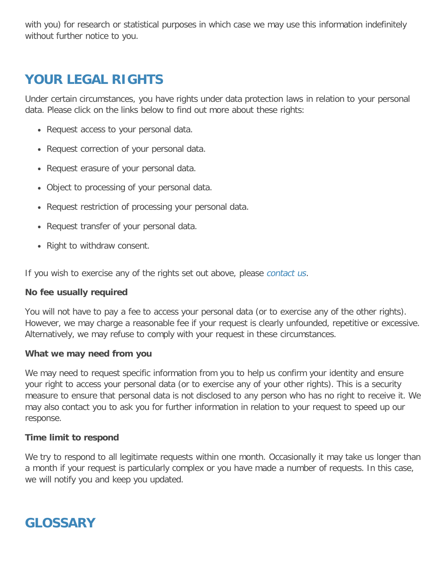with you) for research or statistical purposes in which case we may use this information indefinitely without further notice to you.

# <span id="page-10-0"></span>**YOUR LEGAL RIGHTS**

Under certain circumstances, you have rights under data protection laws in relation to your personal data. Please click on the links below to find out more about these rights:

- Request access to your personal data.
- Request correction of your personal data.
- Request erasure of your personal data.
- Object to processing of your personal data.
- Request restriction of processing your personal data.
- Request transfer of your personal data.
- Right to withdraw consent.

If you wish to exercise any of the rights set out above, please [contact us](https://www.traveltrolley.co.uk/contact-us/).

#### **No fee usually required**

You will not have to pay a fee to access your personal data (or to exercise any of the other rights). However, we may charge a reasonable fee if your request is clearly unfounded, repetitive or excessive. Alternatively, we may refuse to comply with your request in these circumstances.

#### **What we may need from you**

We may need to request specific information from you to help us confirm your identity and ensure your right to access your personal data (or to exercise any of your other rights). This is a security measure to ensure that personal data is not disclosed to any person who has no right to receive it. We may also contact you to ask you for further information in relation to your request to speed up our response.

#### **Time limit to respond**

We try to respond to all legitimate requests within one month. Occasionally it may take us longer than a month if your request is particularly complex or you have made a number of requests. In this case, we will notify you and keep you updated.

# <span id="page-10-1"></span>**GLOSSARY**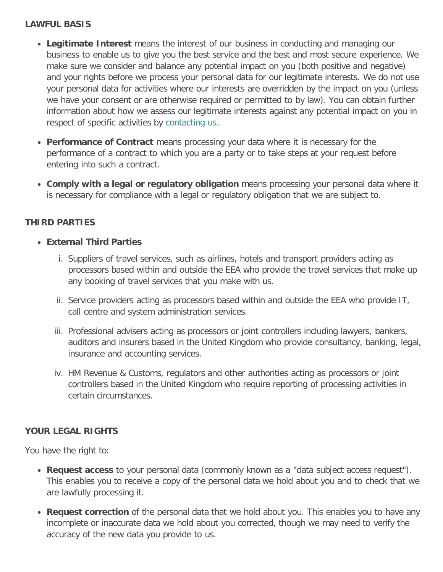#### **LAWFUL BASIS**

- **Legitimate Interest** means the interest of our business in conducting and managing our business to enable us to give you the best service and the best and most secure experience. We make sure we consider and balance any potential impact on you (both positive and negative) and your rights before we process your personal data for our legitimate interests. We do not use your personal data for activities where our interests are overridden by the impact on you (unless we have your consent or are otherwise required or permitted to by law). You can obtain further information about how we assess our legitimate interests against any potential impact on you in respect of specific activities by [contacting us.](https://www.traveltrolley.co.uk/contact-us/)
- **Performance of Contract** means processing your data where it is necessary for the performance of a contract to which you are a party or to take steps at your request before entering into such a contract.
- **Comply with a legal or regulatory obligation** means processing your personal data where it is necessary for compliance with a legal or regulatory obligation that we are subject to.

## **THIRD PARTIES**

#### **External Third Parties**

- i. Suppliers of travel services, such as airlines, hotels and transport providers acting as processors based within and outside the EEA who provide the travel services that make up any booking of travel services that you make with us.
- ii. Service providers acting as processors based within and outside the EEA who provide IT, call centre and system administration services.
- iii. Professional advisers acting as processors or joint controllers including lawyers, bankers, auditors and insurers based in the United Kingdom who provide consultancy, banking, legal, insurance and accounting services.
- iv. HM Revenue & Customs, regulators and other authorities acting as processors or joint controllers based in the United Kingdom who require reporting of processing activities in certain circumstances.

### **YOUR LEGAL RIGHTS**

You have the right to:

- **Request access** to your personal data (commonly known as a "data subject access request"). This enables you to receive a copy of the personal data we hold about you and to check that we are lawfully processing it.
- **Request correction** of the personal data that we hold about you. This enables you to have any incomplete or inaccurate data we hold about you corrected, though we may need to verify the accuracy of the new data you provide to us.